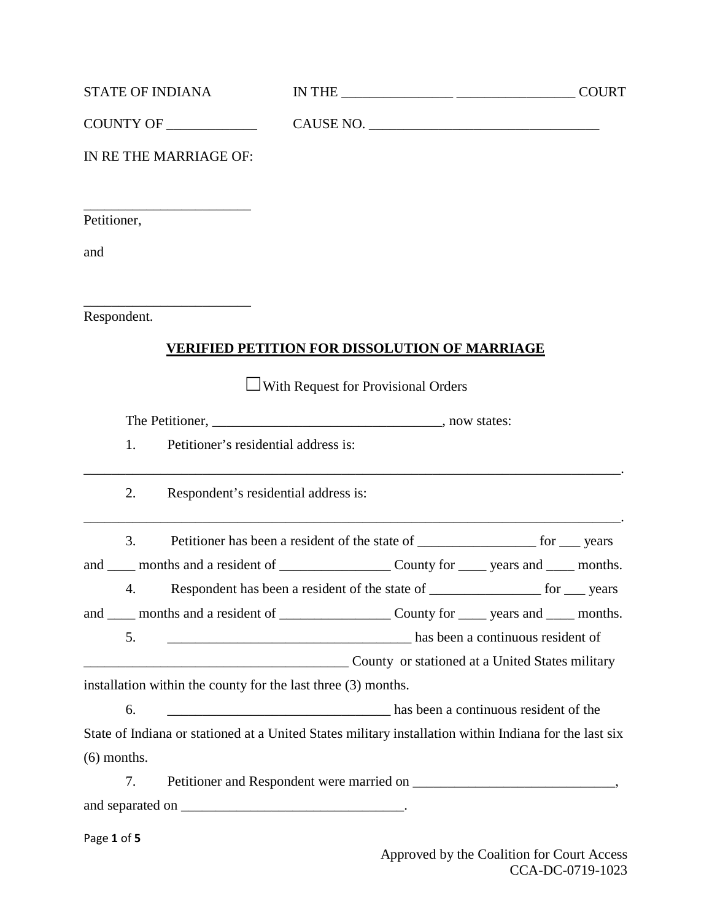| <b>STATE OF INDIANA</b> | <b>NTHE</b> | <b>COURT</b> |
|-------------------------|-------------|--------------|
|-------------------------|-------------|--------------|

COUNTY OF \_\_\_\_\_\_\_\_\_\_\_\_\_ CAUSE NO. \_\_\_\_\_\_\_\_\_\_\_\_\_\_\_\_\_\_\_\_\_\_\_\_\_\_\_\_\_\_\_\_\_

IN RE THE MARRIAGE OF:

\_\_\_\_\_\_\_\_\_\_\_\_\_\_\_\_\_\_\_\_\_\_\_\_

\_\_\_\_\_\_\_\_\_\_\_\_\_\_\_\_\_\_\_\_\_\_\_\_

Petitioner,

and

Respondent.

## **VERIFIED PETITION FOR DISSOLUTION OF MARRIAGE**

 $\Box$ With Request for Provisional Orders

The Petitioner, \_\_\_\_\_\_\_\_\_\_\_\_\_\_\_\_\_\_\_\_\_\_\_\_\_\_\_\_\_\_\_\_\_\_\_, now states:

1. Petitioner's residential address is:

2. Respondent's residential address is:

3. Petitioner has been a resident of the state of \_\_\_\_\_\_\_\_\_\_\_\_\_\_\_\_\_\_ for \_\_\_ years

\_\_\_\_\_\_\_\_\_\_\_\_\_\_\_\_\_\_\_\_\_\_\_\_\_\_\_\_\_\_\_\_\_\_\_\_\_\_\_\_\_\_\_\_\_\_\_\_\_\_\_\_\_\_\_\_\_\_\_\_\_\_\_\_\_\_\_\_\_\_\_\_\_\_\_\_\_.

\_\_\_\_\_\_\_\_\_\_\_\_\_\_\_\_\_\_\_\_\_\_\_\_\_\_\_\_\_\_\_\_\_\_\_\_\_\_\_\_\_\_\_\_\_\_\_\_\_\_\_\_\_\_\_\_\_\_\_\_\_\_\_\_\_\_\_\_\_\_\_\_\_\_\_\_\_.

and \_\_\_\_ months and a resident of \_\_\_\_\_\_\_\_\_\_\_\_\_\_\_\_ County for \_\_\_\_ years and \_\_\_\_ months.

4. Respondent has been a resident of the state of \_\_\_\_\_\_\_\_\_\_\_\_\_\_\_\_\_ for \_\_\_ years

and \_\_\_\_ months and a resident of \_\_\_\_\_\_\_\_\_\_\_\_\_\_\_\_ County for \_\_\_\_ years and \_\_\_\_ months. 5. \_\_\_\_\_\_\_\_\_\_\_\_\_\_\_\_\_\_\_\_\_\_\_\_\_\_\_\_\_\_\_\_\_\_\_ has been a continuous resident of

\_\_\_\_\_\_\_\_\_\_\_\_\_\_\_\_\_\_\_\_\_\_\_\_\_\_\_\_\_\_\_\_\_\_\_\_\_\_ County or stationed at a United States military

installation within the county for the last three (3) months.

6. \_\_\_\_\_\_\_\_\_\_\_\_\_\_\_\_\_\_\_\_\_\_\_\_\_\_\_\_\_\_\_\_ has been a continuous resident of the

State of Indiana or stationed at a United States military installation within Indiana for the last six (6) months.

7. Petitioner and Respondent were married on \_\_\_\_\_\_\_\_\_\_\_\_\_\_\_\_\_\_\_\_\_\_\_\_\_\_, and separated on \_\_\_\_\_\_\_\_\_\_\_\_\_\_\_\_\_\_\_\_\_\_\_\_\_\_\_\_\_\_\_\_.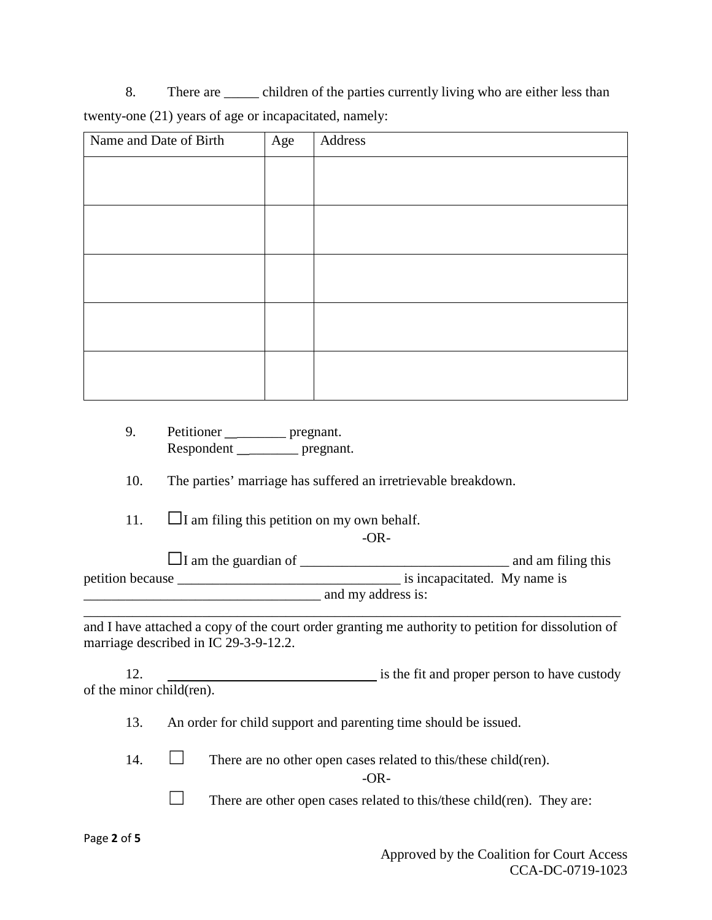8. There are \_\_\_\_\_ children of the parties currently living who are either less than twenty-one (21) years of age or incapacitated, namely:

| Name and Date of Birth | Age | Address |
|------------------------|-----|---------|
|                        |     |         |
|                        |     |         |
|                        |     |         |
|                        |     |         |
|                        |     |         |

9. Petitioner \_\_\_\_\_\_\_\_\_\_ pregnant. Respondent \_\_\_\_\_\_\_\_\_ pregnant.

10. The parties' marriage has suffered an irretrievable breakdown.

11.  $\Box$ I am filing this petition on my own behalf.

-OR-

 $\Box$ I am the guardian of  $\Box$ petition because **the contract of the contract of the contract of the contract of the contract of the contract of the contract of the contract of the contract of the contract of the contract of the contract of the contract**  $\frac{1}{2}$  and my address is:

and I have attached a copy of the court order granting me authority to petition for dissolution of marriage described in IC 29-3-9-12.2.

\_\_\_\_\_\_\_\_\_\_\_\_\_\_\_\_\_\_\_\_\_\_\_\_\_\_\_\_\_\_\_\_\_\_\_\_\_\_\_\_\_\_\_\_\_\_\_\_\_\_\_\_\_\_\_\_\_\_\_\_\_\_\_\_\_\_\_\_\_\_\_\_\_\_\_\_\_

12. is the fit and proper person to have custody of the minor child(ren).

13. An order for child support and parenting time should be issued.

14.  $\Box$  There are no other open cases related to this/these child(ren).

-OR-

 $\Box$  There are other open cases related to this/these child(ren). They are: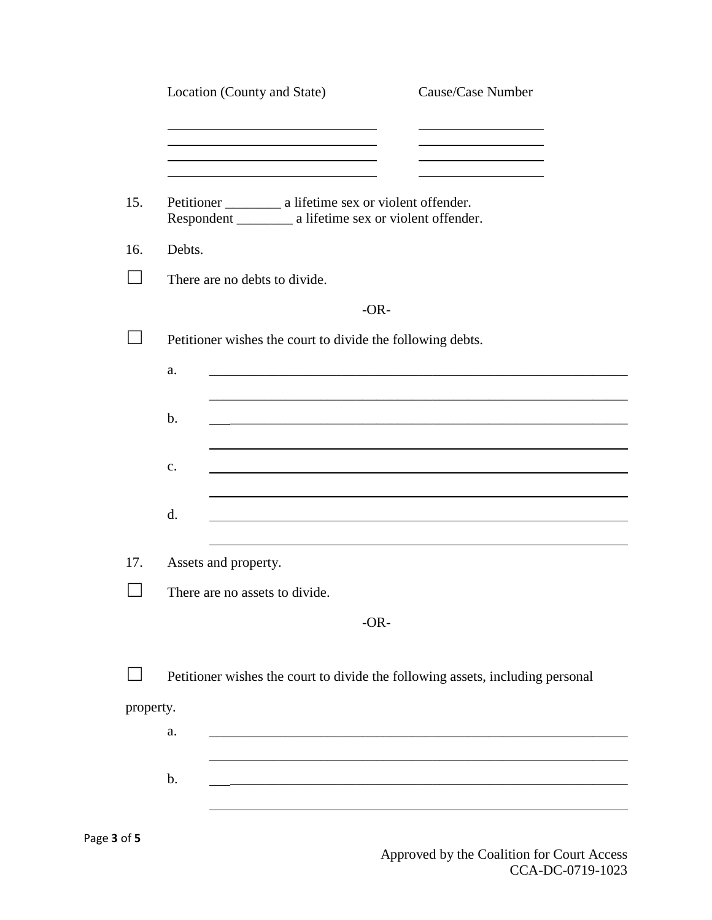|           | Cause/Case Number<br>Location (County and State)                                                                                  |  |  |
|-----------|-----------------------------------------------------------------------------------------------------------------------------------|--|--|
|           |                                                                                                                                   |  |  |
|           |                                                                                                                                   |  |  |
| 15.       | Respondent ____________ a lifetime sex or violent offender.                                                                       |  |  |
| 16.       | Debts.                                                                                                                            |  |  |
|           | There are no debts to divide.                                                                                                     |  |  |
|           | $-OR-$                                                                                                                            |  |  |
|           | Petitioner wishes the court to divide the following debts.                                                                        |  |  |
|           | a.<br><u> 1989 - John Stein, Amerikaansk politiker (* 1958)</u>                                                                   |  |  |
|           |                                                                                                                                   |  |  |
|           | $\mathbf b$ .<br>and the control of the control of the control of the control of the control of the control of the control of the |  |  |
|           |                                                                                                                                   |  |  |
|           | c.                                                                                                                                |  |  |
|           |                                                                                                                                   |  |  |
|           | d.                                                                                                                                |  |  |
| 17.       | Assets and property.                                                                                                              |  |  |
|           | There are no assets to divide.                                                                                                    |  |  |
|           | $-OR-$                                                                                                                            |  |  |
|           |                                                                                                                                   |  |  |
|           | Petitioner wishes the court to divide the following assets, including personal                                                    |  |  |
| property. |                                                                                                                                   |  |  |
|           | a.                                                                                                                                |  |  |
|           |                                                                                                                                   |  |  |
|           | $\mathbf b$ .                                                                                                                     |  |  |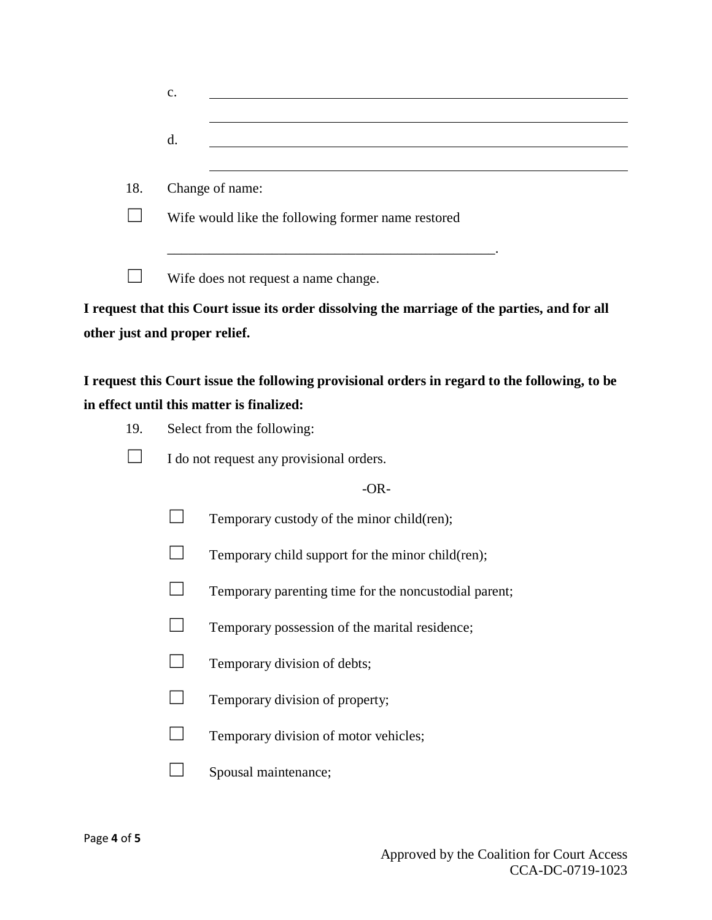|     | $\mathbf{c}$ .                                     |                                                                                               |  |  |  |  |
|-----|----------------------------------------------------|-----------------------------------------------------------------------------------------------|--|--|--|--|
|     | d.                                                 |                                                                                               |  |  |  |  |
|     |                                                    |                                                                                               |  |  |  |  |
| 18. |                                                    | Change of name:                                                                               |  |  |  |  |
|     | Wife would like the following former name restored |                                                                                               |  |  |  |  |
|     | Wife does not request a name change.               |                                                                                               |  |  |  |  |
|     |                                                    | I request that this Court issue its order dissolving the marriage of the parties, and for all |  |  |  |  |
|     | other just and proper relief.                      |                                                                                               |  |  |  |  |
|     |                                                    | I request this Court issue the following provisional orders in regard to the following, to be |  |  |  |  |
|     |                                                    | in effect until this matter is finalized:                                                     |  |  |  |  |
| 19. | Select from the following:                         |                                                                                               |  |  |  |  |
|     | I do not request any provisional orders.           |                                                                                               |  |  |  |  |
|     |                                                    | $-OR-$                                                                                        |  |  |  |  |
|     |                                                    | Temporary custody of the minor child(ren);                                                    |  |  |  |  |
|     |                                                    | Temporary child support for the minor child(ren);                                             |  |  |  |  |
|     |                                                    | Temporary parenting time for the noncustodial parent;                                         |  |  |  |  |
|     |                                                    | Temporary possession of the marital residence;                                                |  |  |  |  |
|     |                                                    | Temporary division of debts;                                                                  |  |  |  |  |
|     |                                                    | Temporary division of property;                                                               |  |  |  |  |
|     |                                                    | Temporary division of motor vehicles;                                                         |  |  |  |  |
|     |                                                    | Spousal maintenance;                                                                          |  |  |  |  |
|     |                                                    |                                                                                               |  |  |  |  |